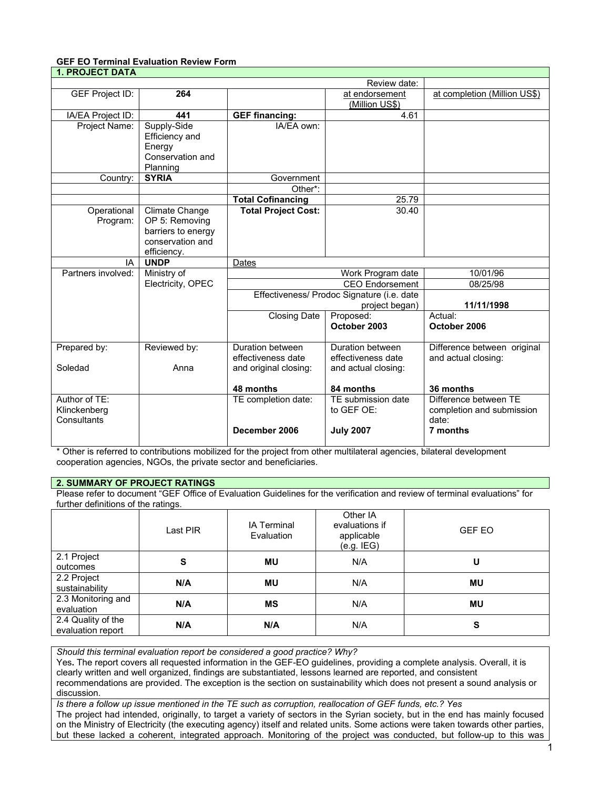#### **GEF EO Terminal Evaluation Review Form 1. PROJECT DATA**

| I. PRUJECI DAIA        |                    |                                            |                        |                              |
|------------------------|--------------------|--------------------------------------------|------------------------|------------------------------|
|                        |                    |                                            | Review date:           |                              |
| <b>GEF Project ID:</b> | 264                |                                            | at endorsement         | at completion (Million US\$) |
|                        |                    |                                            | (Million US\$)         |                              |
| IA/EA Project ID:      | 441                | <b>GEF financing:</b>                      | 4.61                   |                              |
| Project Name:          | Supply-Side        | IA/FA own:                                 |                        |                              |
|                        | Efficiency and     |                                            |                        |                              |
|                        | Energy             |                                            |                        |                              |
|                        | Conservation and   |                                            |                        |                              |
|                        | Planning           |                                            |                        |                              |
| Country:               | <b>SYRIA</b>       | Government                                 |                        |                              |
|                        |                    | Other*:                                    |                        |                              |
|                        |                    | <b>Total Cofinancing</b>                   | 25.79                  |                              |
| Operational            | Climate Change     | <b>Total Project Cost:</b>                 | 30.40                  |                              |
| Program:               | OP 5: Removing     |                                            |                        |                              |
|                        | barriers to energy |                                            |                        |                              |
|                        | conservation and   |                                            |                        |                              |
|                        | efficiency.        |                                            |                        |                              |
| IA                     | <b>UNDP</b>        | Dates                                      |                        |                              |
| Partners involved:     | Ministry of        |                                            | Work Program date      | 10/01/96                     |
|                        | Electricity, OPEC  |                                            | <b>CEO</b> Endorsement | 08/25/98                     |
|                        |                    | Effectiveness/ Prodoc Signature (i.e. date |                        |                              |
|                        |                    | project began)                             |                        | 11/11/1998                   |
|                        |                    | <b>Closing Date</b><br>Proposed:           |                        | Actual:                      |
|                        |                    |                                            | October 2003           | October 2006                 |
|                        |                    |                                            |                        |                              |
| Prepared by:           | Reviewed by:       | Duration between                           | Duration between       | Difference between original  |
|                        |                    | effectiveness date                         | effectiveness date     | and actual closing:          |
| Soledad                | Anna               | and original closing:                      | and actual closing:    |                              |
|                        |                    |                                            |                        |                              |
|                        |                    | 48 months                                  | 84 months              | 36 months                    |
| Author of TE:          |                    | TE completion date:                        | TE submission date     | Difference between TE        |
| Klinckenberg           |                    |                                            | to GEF OE:             | completion and submission    |
| Consultants            |                    |                                            |                        | date:                        |
|                        |                    | December 2006                              | <b>July 2007</b>       | 7 months                     |
|                        |                    |                                            |                        |                              |

\* Other is referred to contributions mobilized for the project from other multilateral agencies, bilateral development cooperation agencies, NGOs, the private sector and beneficiaries.

# **2. SUMMARY OF PROJECT RATINGS**

Please refer to document "GEF Office of Evaluation Guidelines for the verification and review of terminal evaluations" for further definitions of the ratings.

|                                         | $\tilde{\phantom{a}}$<br>Last PIR | <b>IA Terminal</b><br>Evaluation | Other IA<br>evaluations if<br>applicable<br>(e.g. IEG) | <b>GEF EO</b> |
|-----------------------------------------|-----------------------------------|----------------------------------|--------------------------------------------------------|---------------|
| 2.1 Project<br>outcomes                 | S                                 | <b>MU</b>                        | N/A                                                    | U             |
| 2.2 Project<br>sustainability           | N/A                               | MU                               | N/A                                                    | MU            |
| 2.3 Monitoring and<br>evaluation        | N/A                               | ΜS                               | N/A                                                    | MU            |
| 2.4 Quality of the<br>evaluation report | N/A                               | N/A                              | N/A                                                    | S             |

*Should this terminal evaluation report be considered a good practice? Why?*

Yes**.** The report covers all requested information in the GEF-EO guidelines, providing a complete analysis. Overall, it is clearly written and well organized, findings are substantiated, lessons learned are reported, and consistent recommendations are provided. The exception is the section on sustainability which does not present a sound analysis or discussion.

*Is there a follow up issue mentioned in the TE such as corruption, reallocation of GEF funds, etc.? Yes*

The project had intended, originally, to target a variety of sectors in the Syrian society, but in the end has mainly focused on the Ministry of Electricity (the executing agency) itself and related units. Some actions were taken towards other parties, but these lacked a coherent, integrated approach. Monitoring of the project was conducted, but follow-up to this was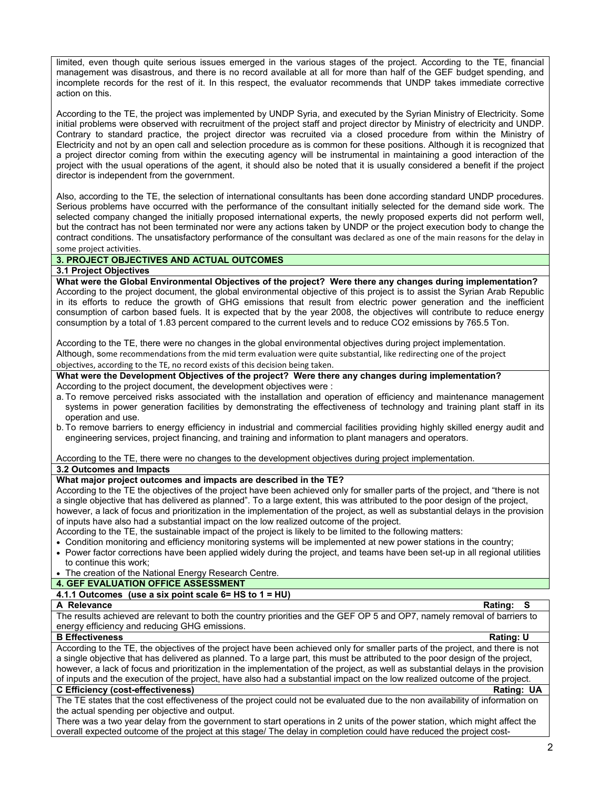limited, even though quite serious issues emerged in the various stages of the project. According to the TE, financial management was disastrous, and there is no record available at all for more than half of the GEF budget spending, and incomplete records for the rest of it. In this respect, the evaluator recommends that UNDP takes immediate corrective action on this.

According to the TE, the project was implemented by UNDP Syria, and executed by the Syrian Ministry of Electricity. Some initial problems were observed with recruitment of the project staff and project director by Ministry of electricity and UNDP. Contrary to standard practice, the project director was recruited via a closed procedure from within the Ministry of Electricity and not by an open call and selection procedure as is common for these positions. Although it is recognized that a project director coming from within the executing agency will be instrumental in maintaining a good interaction of the project with the usual operations of the agent, it should also be noted that it is usually considered a benefit if the project director is independent from the government.

Also, according to the TE, the selection of international consultants has been done according standard UNDP procedures. Serious problems have occurred with the performance of the consultant initially selected for the demand side work. The selected company changed the initially proposed international experts, the newly proposed experts did not perform well, but the contract has not been terminated nor were any actions taken by UNDP or the project execution body to change the contract conditions. The unsatisfactory performance of the consultant was declared as one of the main reasons for the delay in some project activities.

# **3. PROJECT OBJECTIVES AND ACTUAL OUTCOMES**

#### **3.1 Project Objectives**

**What were the Global Environmental Objectives of the project? Were there any changes during implementation?** According to the project document, the global environmental objective of this project is to assist the Syrian Arab Republic in its efforts to reduce the growth of GHG emissions that result from electric power generation and the inefficient consumption of carbon based fuels. It is expected that by the year 2008, the objectives will contribute to reduce energy consumption by a total of 1.83 percent compared to the current levels and to reduce CO2 emissions by 765.5 Ton.

According to the TE, there were no changes in the global environmental objectives during project implementation. Although, some recommendations from the mid term evaluation were quite substantial, like redirecting one of the project objectives, according to the TE, no record exists of this decision being taken.

**What were the Development Objectives of the project? Were there any changes during implementation?** According to the project document, the development objectives were :

- a. To remove perceived risks associated with the installation and operation of efficiency and maintenance management systems in power generation facilities by demonstrating the effectiveness of technology and training plant staff in its operation and use.
- b. To remove barriers to energy efficiency in industrial and commercial facilities providing highly skilled energy audit and engineering services, project financing, and training and information to plant managers and operators.

According to the TE, there were no changes to the development objectives during project implementation.

**3.2 Outcomes and Impacts**

#### **What major project outcomes and impacts are described in the TE?**

According to the TE the objectives of the project have been achieved only for smaller parts of the project, and "there is not a single objective that has delivered as planned". To a large extent, this was attributed to the poor design of the project, however, a lack of focus and prioritization in the implementation of the project, as well as substantial delays in the provision of inputs have also had a substantial impact on the low realized outcome of the project.

According to the TE, the sustainable impact of the project is likely to be limited to the following matters:

- Condition monitoring and efficiency monitoring systems will be implemented at new power stations in the country;
- Power factor corrections have been applied widely during the project, and teams have been set-up in all regional utilities to continue this work;
- The creation of the National Energy Research Centre.

# **4. GEF EVALUATION OFFICE ASSESSMENT**

# **4.1.1 Outcomes (use a six point scale 6= HS to 1 = HU)**

**A Relevance Rating: S** The results achieved are relevant to both the country priorities and the GEF OP 5 and OP7, namely removal of barriers to energy efficiency and reducing GHG emissions.

#### **B Effectiveness** Rating: U

According to the TE, the objectives of the project have been achieved only for smaller parts of the project, and there is not a single objective that has delivered as planned. To a large part, this must be attributed to the poor design of the project, however, a lack of focus and prioritization in the implementation of the project, as well as substantial delays in the provision of inputs and the execution of the project, have also had a substantial impact on the low realized outcome of the project. **C Efficiency (cost-effectiveness) Rating: UA**

The TE states that the cost effectiveness of the project could not be evaluated due to the non availability of information on the actual spending per objective and output.

There was a two year delay from the government to start operations in 2 units of the power station, which might affect the overall expected outcome of the project at this stage/ The delay in completion could have reduced the project cost-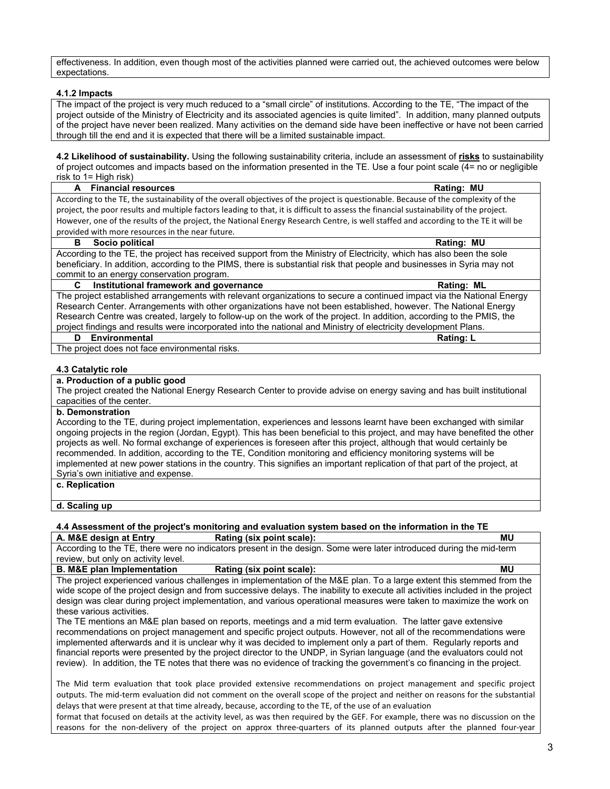effectiveness. In addition, even though most of the activities planned were carried out, the achieved outcomes were below expectations.

### **4.1.2 Impacts**

The impact of the project is very much reduced to a "small circle" of institutions. According to the TE, "The impact of the project outside of the Ministry of Electricity and its associated agencies is quite limited". In addition, many planned outputs of the project have never been realized. Many activities on the demand side have been ineffective or have not been carried through till the end and it is expected that there will be a limited sustainable impact.

**4.2 Likelihood of sustainability.** Using the following sustainability criteria, include an assessment of **risks** to sustainability of project outcomes and impacts based on the information presented in the TE. Use a four point scale (4= no or negligible risk to 1= High risk)

| A Financial resources                                                                                                                  | Rating: MU |
|----------------------------------------------------------------------------------------------------------------------------------------|------------|
| According to the TE, the sustainability of the overall objectives of the project is questionable. Because of the complexity of the     |            |
| project, the poor results and multiple factors leading to that, it is difficult to assess the financial sustainability of the project. |            |
| However, one of the results of the project, the National Energy Research Centre, is well staffed and according to the TE it will be    |            |
| provided with more resources in the near future.                                                                                       |            |

#### **B** Socio political Rating: MU

According to the TE, the project has received support from the Ministry of Electricity, which has also been the sole beneficiary. In addition, according to the PIMS, there is substantial risk that people and businesses in Syria may not commit to an energy conservation program.

### **C Institutional framework and governance Rating: ML** The project established arrangements with relevant organizations to secure a continued impact via the National Energy Research Center. Arrangements with other organizations have not been established, however. The National Energy Research Centre was created, largely to follow-up on the work of the project. In addition, according to the PMIS, the project findings and results were incorporated into the national and Ministry of electricity development Plans.

#### **D** Environmental Rating: L

The project does not face environmental risks.

#### **4.3 Catalytic role**

#### **a. Production of a public good**

The project created the National Energy Research Center to provide advise on energy saving and has built institutional capacities of the center.

# **b. Demonstration**

According to the TE, during project implementation, experiences and lessons learnt have been exchanged with similar ongoing projects in the region (Jordan, Egypt). This has been beneficial to this project, and may have benefited the other projects as well. No formal exchange of experiences is foreseen after this project, although that would certainly be recommended. In addition, according to the TE, Condition monitoring and efficiency monitoring systems will be implemented at new power stations in the country. This signifies an important replication of that part of the project, at Syria's own initiative and expense.

#### **c. Replication**

**d. Scaling up**

# **4.4 Assessment of the project's monitoring and evaluation system based on the information in the TE**

**A. M&E design at Entry Rating (six point scale): MU** 

According to the TE, there were no indicators present in the design. Some were later introduced during the mid-term review, but only on activity level.

# **B. M&E plan Implementation Rating (six point scale):** MU

The project experienced various challenges in implementation of the M&E plan. To a large extent this stemmed from the wide scope of the project design and from successive delays. The inability to execute all activities included in the project design was clear during project implementation, and various operational measures were taken to maximize the work on these various activities.

The TE mentions an M&E plan based on reports, meetings and a mid term evaluation. The latter gave extensive recommendations on project management and specific project outputs. However, not all of the recommendations were implemented afterwards and it is unclear why it was decided to implement only a part of them. Regularly reports and financial reports were presented by the project director to the UNDP, in Syrian language (and the evaluators could not review). In addition, the TE notes that there was no evidence of tracking the government's co financing in the project.

The Mid term evaluation that took place provided extensive recommendations on project management and specific project outputs. The mid-term evaluation did not comment on the overall scope of the project and neither on reasons for the substantial delays that were present at that time already, because, according to the TE, of the use of an evaluation

format that focused on details at the activity level, as was then required by the GEF. For example, there was no discussion on the reasons for the non-delivery of the project on approx three-quarters of its planned outputs after the planned four-year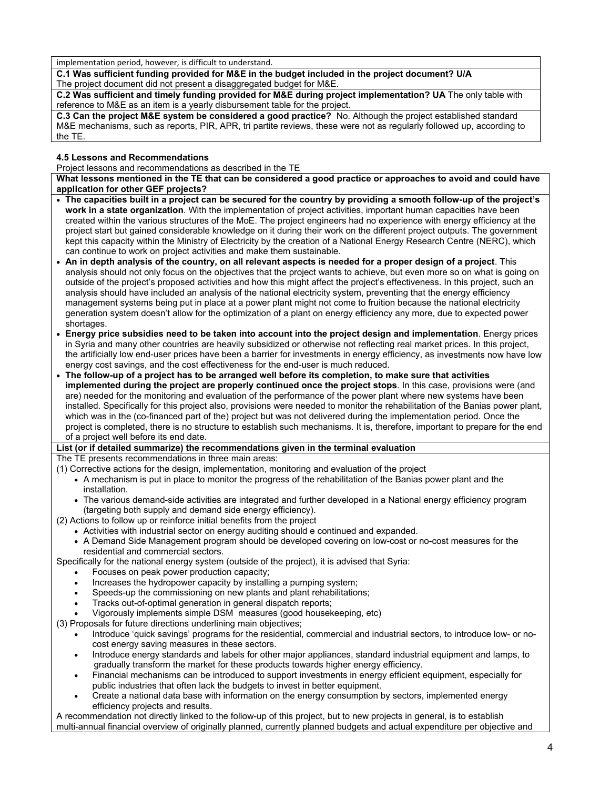implementation period, however, is difficult to understand.

**C.1 Was sufficient funding provided for M&E in the budget included in the project document? U/A** The project document did not present a disaggregated budget for M&E.

**C.2 Was sufficient and timely funding provided for M&E during project implementation? UA** The only table with reference to M&E as an item is a yearly disbursement table for the project.

**C.3 Can the project M&E system be considered a good practice?** No. Although the project established standard M&E mechanisms, such as reports, PIR, APR, tri partite reviews, these were not as regularly followed up, according to the TE.

# **4.5 Lessons and Recommendations**

Project lessons and recommendations as described in the TE

**What lessons mentioned in the TE that can be considered a good practice or approaches to avoid and could have application for other GEF projects?**

- **The capacities built in a project can be secured for the country by providing a smooth follow-up of the project's work in a state organization**. With the implementation of project activities, important human capacities have been created within the various structures of the MoE. The project engineers had no experience with energy efficiency at the project start but gained considerable knowledge on it during their work on the different project outputs. The government kept this capacity within the Ministry of Electricity by the creation of a National Energy Research Centre (NERC), which can continue to work on project activities and make them sustainable.
- **An in depth analysis of the country, on all relevant aspects is needed for a proper design of a project**. This analysis should not only focus on the objectives that the project wants to achieve, but even more so on what is going on outside of the project's proposed activities and how this might affect the project's effectiveness. In this project, such an analysis should have included an analysis of the national electricity system, preventing that the energy efficiency management systems being put in place at a power plant might not come to fruition because the national electricity generation system doesn't allow for the optimization of a plant on energy efficiency any more, due to expected power shortages.
- **Energy price subsidies need to be taken into account into the project design and implementation**. Energy prices in Syria and many other countries are heavily subsidized or otherwise not reflecting real market prices. In this project, the artificially low end-user prices have been a barrier for investments in energy efficiency, as investments now have low energy cost savings, and the cost effectiveness for the end-user is much reduced.

• **The follow-up of a project has to be arranged well before its completion, to make sure that activities implemented during the project are properly continued once the project stops**. In this case, provisions were (and are) needed for the monitoring and evaluation of the performance of the power plant where new systems have been installed. Specifically for this project also, provisions were needed to monitor the rehabilitation of the Banias power plant, which was in the (co-financed part of the) project but was not delivered during the implementation period. Once the project is completed, there is no structure to establish such mechanisms. It is, therefore, important to prepare for the end of a project well before its end date.

## **List (or if detailed summarize) the recommendations given in the terminal evaluation**

The TE presents recommendations in three main areas:

- (1) Corrective actions for the design, implementation, monitoring and evaluation of the project
	- A mechanism is put in place to monitor the progress of the rehabilitation of the Banias power plant and the installation.
	- The various demand-side activities are integrated and further developed in a National energy efficiency program (targeting both supply and demand side energy efficiency).
- (2) Actions to follow up or reinforce initial benefits from the project
	- Activities with industrial sector on energy auditing should e continued and expanded.
	- A Demand Side Management program should be developed covering on low-cost or no-cost measures for the residential and commercial sectors.

Specifically for the national energy system (outside of the project), it is advised that Syria:

- Focuses on peak power production capacity;
- Increases the hydropower capacity by installing a pumping system;
- Speeds-up the commissioning on new plants and plant rehabilitations;
- Tracks out-of-optimal generation in general dispatch reports;
- Vigorously implements simple DSM measures (good housekeeping, etc)

(3) Proposals for future directions underlining main objectives;

- Introduce 'quick savings' programs for the residential, commercial and industrial sectors, to introduce low- or nocost energy saving measures in these sectors.
- Introduce energy standards and labels for other major appliances, standard industrial equipment and lamps, to gradually transform the market for these products towards higher energy efficiency.
- Financial mechanisms can be introduced to support investments in energy efficient equipment, especially for public industries that often lack the budgets to invest in better equipment.
- Create a national data base with information on the energy consumption by sectors, implemented energy efficiency projects and results.

A recommendation not directly linked to the follow-up of this project, but to new projects in general, is to establish multi-annual financial overview of originally planned, currently planned budgets and actual expenditure per objective and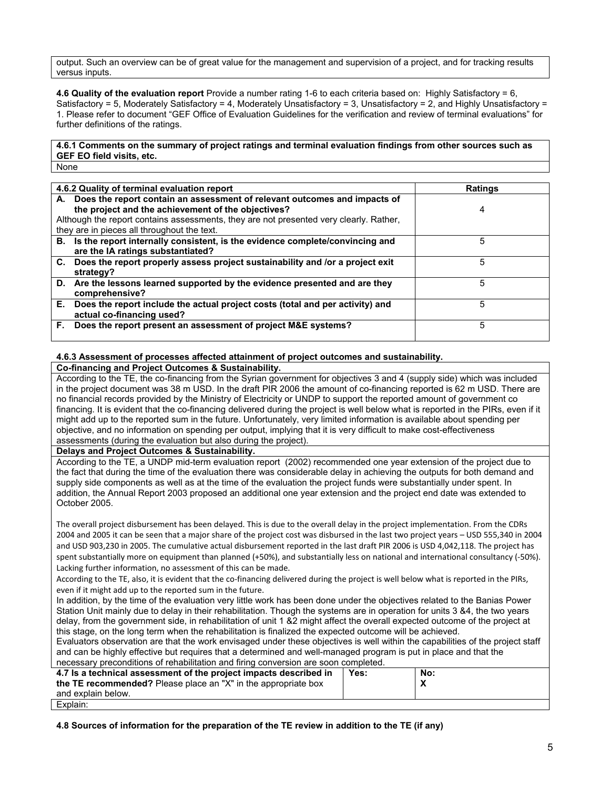output. Such an overview can be of great value for the management and supervision of a project, and for tracking results versus inputs.

**4.6 Quality of the evaluation report** Provide a number rating 1-6 to each criteria based on: Highly Satisfactory = 6, Satisfactory = 5, Moderately Satisfactory = 4, Moderately Unsatisfactory = 3, Unsatisfactory = 2, and Highly Unsatisfactory = 1. Please refer to document "GEF Office of Evaluation Guidelines for the verification and review of terminal evaluations" for further definitions of the ratings.

**4.6.1 Comments on the summary of project ratings and terminal evaluation findings from other sources such as GEF EO field visits, etc.** None

| 4.6.2 Quality of terminal evaluation report |                                                                                                                                                                                                                                                                             | <b>Ratings</b> |
|---------------------------------------------|-----------------------------------------------------------------------------------------------------------------------------------------------------------------------------------------------------------------------------------------------------------------------------|----------------|
|                                             | A. Does the report contain an assessment of relevant outcomes and impacts of<br>the project and the achievement of the objectives?<br>Although the report contains assessments, they are not presented very clearly. Rather,<br>they are in pieces all throughout the text. | 4              |
|                                             | B. Is the report internally consistent, is the evidence complete/convincing and<br>are the IA ratings substantiated?                                                                                                                                                        | 5              |
|                                             | C. Does the report properly assess project sustainability and /or a project exit<br>strategy?                                                                                                                                                                               | 5              |
|                                             | D. Are the lessons learned supported by the evidence presented and are they<br>comprehensive?                                                                                                                                                                               | 5              |
| Е.                                          | Does the report include the actual project costs (total and per activity) and<br>actual co-financing used?                                                                                                                                                                  | 5              |
| F.                                          | Does the report present an assessment of project M&E systems?                                                                                                                                                                                                               | 5              |

### **4.6.3 Assessment of processes affected attainment of project outcomes and sustainability.**

#### **Co-financing and Project Outcomes & Sustainability.**

According to the TE, the co-financing from the Syrian government for objectives 3 and 4 (supply side) which was included in the project document was 38 m USD. In the draft PIR 2006 the amount of co-financing reported is 62 m USD. There are no financial records provided by the Ministry of Electricity or UNDP to support the reported amount of government co financing. It is evident that the co-financing delivered during the project is well below what is reported in the PIRs, even if it might add up to the reported sum in the future. Unfortunately, very limited information is available about spending per objective, and no information on spending per output, implying that it is very difficult to make cost-effectiveness assessments (during the evaluation but also during the project).

**Delays and Project Outcomes & Sustainability.**

According to the TE, a UNDP mid-term evaluation report (2002) recommended one year extension of the project due to the fact that during the time of the evaluation there was considerable delay in achieving the outputs for both demand and supply side components as well as at the time of the evaluation the project funds were substantially under spent. In addition, the Annual Report 2003 proposed an additional one year extension and the project end date was extended to October 2005.

The overall project disbursement has been delayed. This is due to the overall delay in the project implementation. From the CDRs 2004 and 2005 it can be seen that a major share of the project cost was disbursed in the last two project years – USD 555,340 in 2004 and USD 903,230 in 2005. The cumulative actual disbursement reported in the last draft PIR 2006 is USD 4,042,118. The project has spent substantially more on equipment than planned (+50%), and substantially less on national and international consultancy (-50%). Lacking further information, no assessment of this can be made.

According to the TE, also, it is evident that the co-financing delivered during the project is well below what is reported in the PIRs, even if it might add up to the reported sum in the future.

In addition, by the time of the evaluation very little work has been done under the objectives related to the Banias Power Station Unit mainly due to delay in their rehabilitation. Though the systems are in operation for units 3 &4, the two years delay, from the government side, in rehabilitation of unit 1 &2 might affect the overall expected outcome of the project at this stage, on the long term when the rehabilitation is finalized the expected outcome will be achieved.

Evaluators observation are that the work envisaged under these objectives is well within the capabilities of the project staff and can be highly effective but requires that a determined and well-managed program is put in place and that the necessary preconditions of rehabilitation and firing conversion are soon completed.

| 4.7 Is a technical assessment of the project impacts described in | Yes: | No: |
|-------------------------------------------------------------------|------|-----|
|                                                                   |      |     |
| the TE recommended? Please place an "X" in the appropriate box    |      |     |
| and explain below.                                                |      |     |
| Explain:                                                          |      |     |

**4.8 Sources of information for the preparation of the TE review in addition to the TE (if any)**